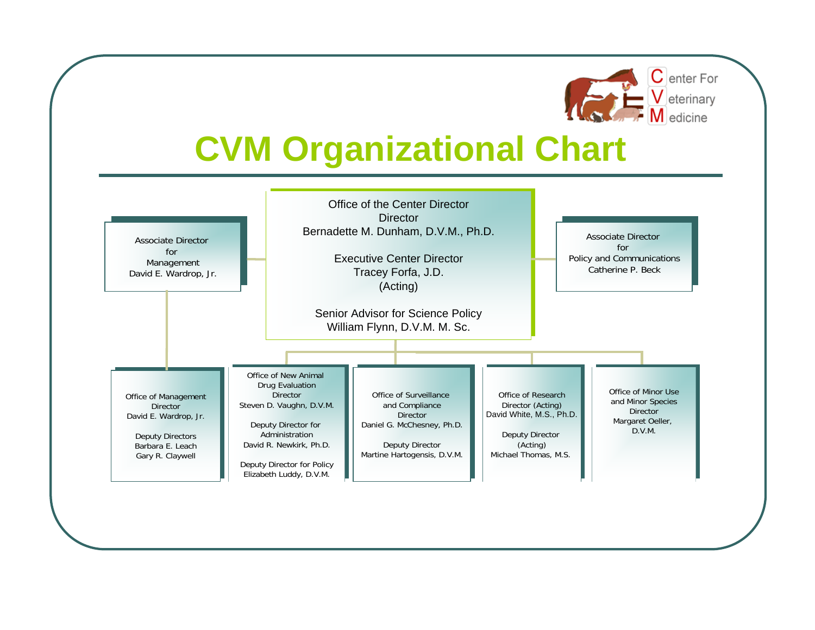

## **CVM Organizational Chart**

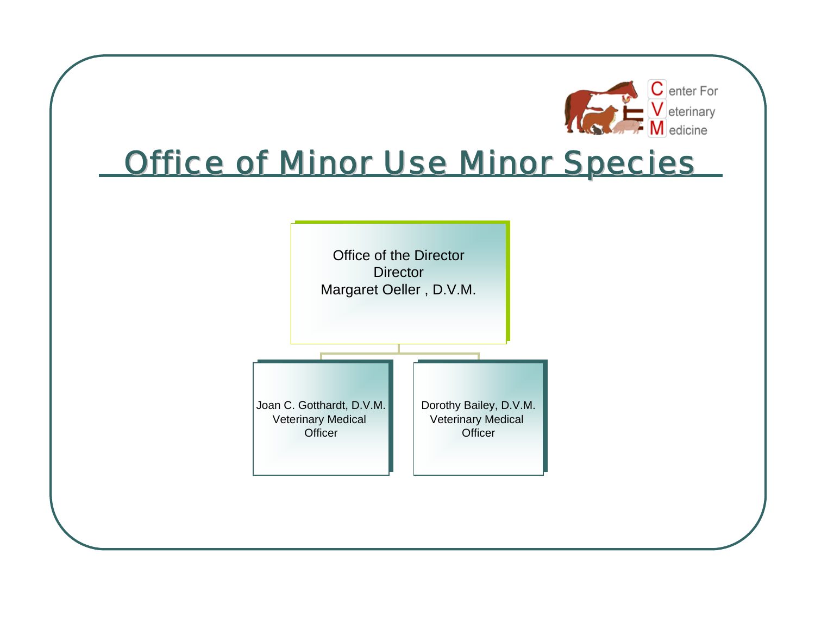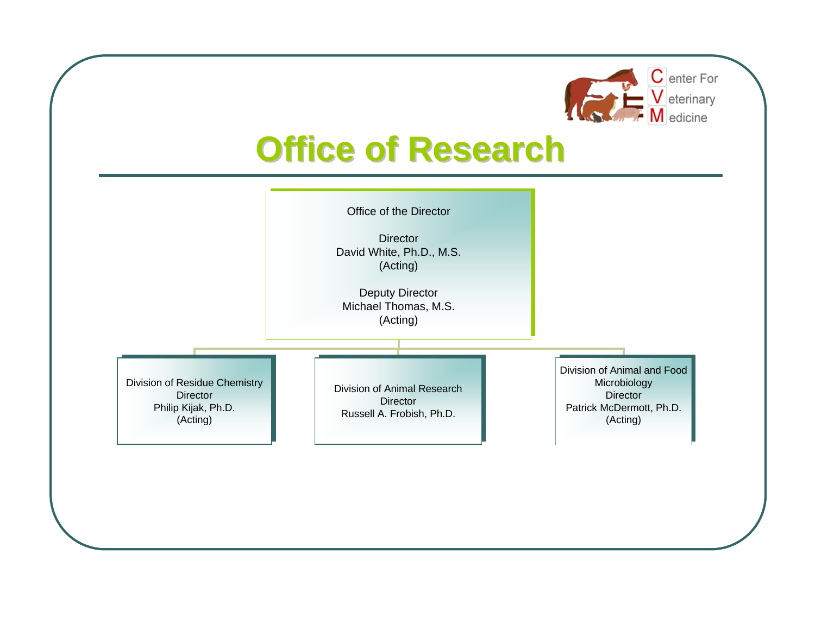

## **Office of Research**

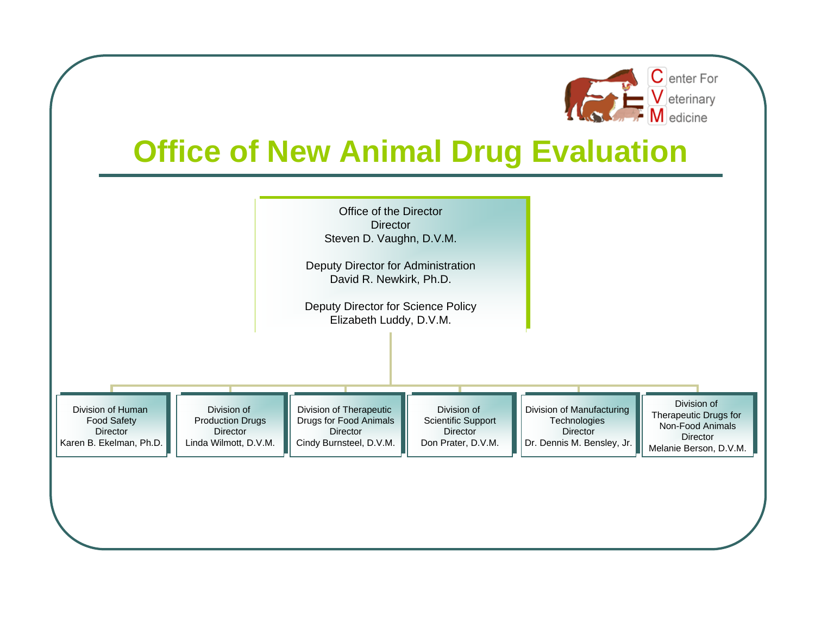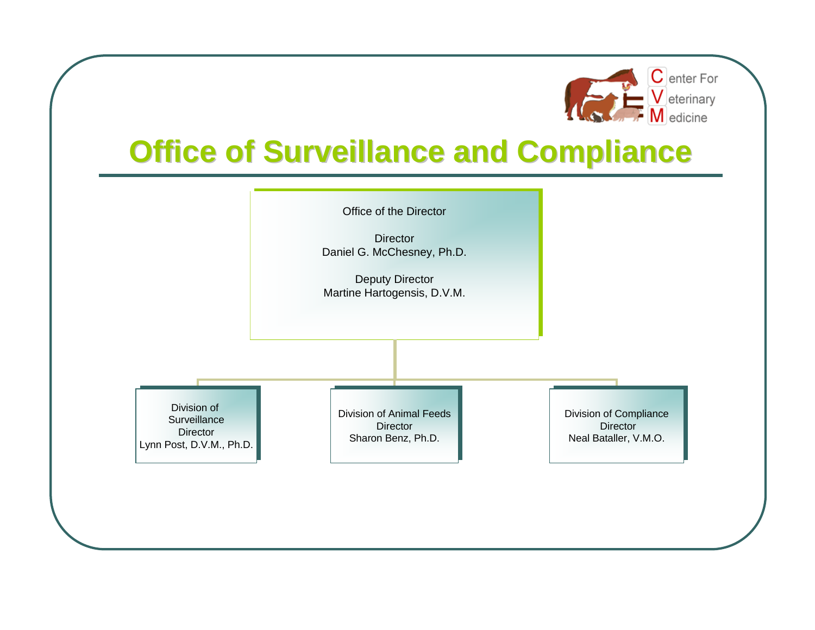

## **Office of Surveillance and Compliance**